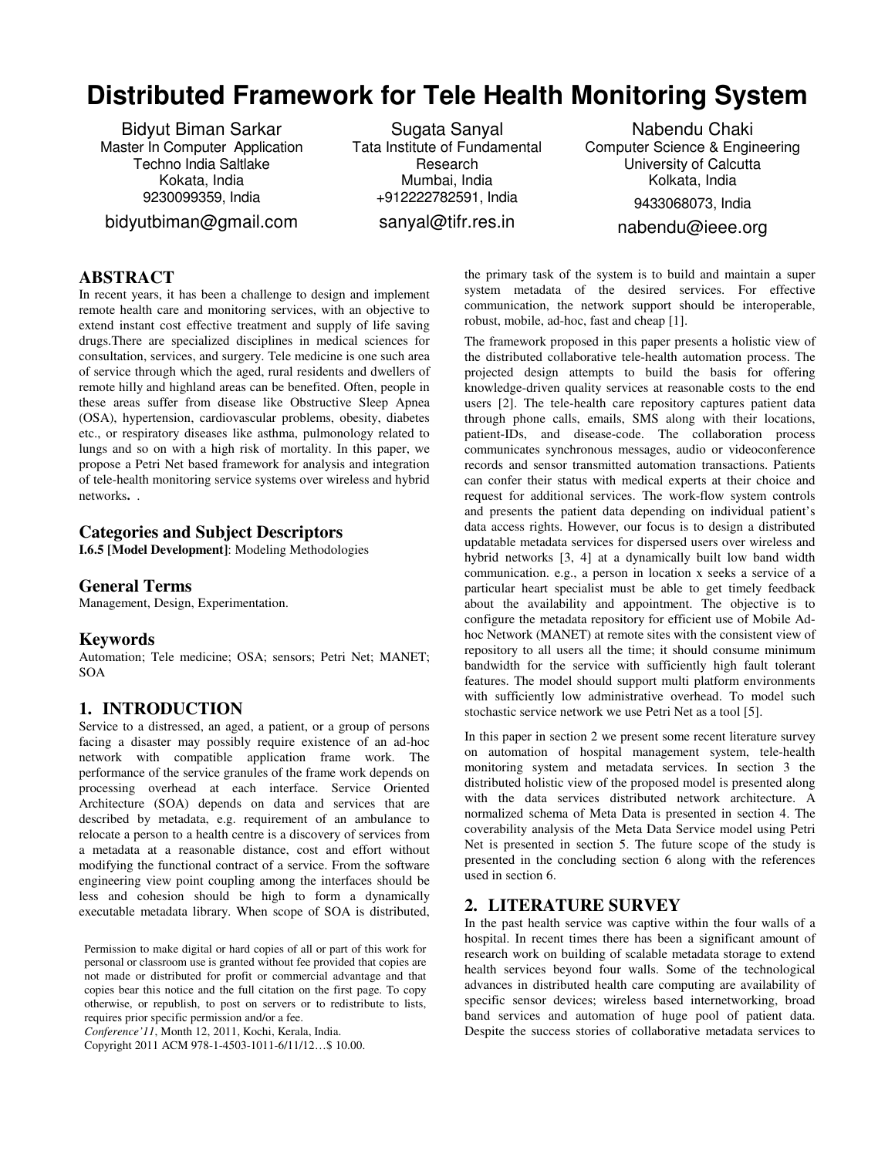# **Distributed Framework for Tele Health Monitoring System**

Bidyut Biman Sarkar Master In Computer Application Techno India Saltlake Kokata, India 9230099359, India bidyutbiman@gmail.com

Sugata Sanyal Tata Institute of Fundamental Research Mumbai, India +912222782591, India sanyal@tifr.res.in

Nabendu Chaki Computer Science & Engineering University of Calcutta Kolkata, India 9433068073, India nabendu@ieee.org

# **ABSTRACT**

In recent years, it has been a challenge to design and implement remote health care and monitoring services, with an objective to extend instant cost effective treatment and supply of life saving drugs.There are specialized disciplines in medical sciences for consultation, services, and surgery. Tele medicine is one such area of service through which the aged, rural residents and dwellers of remote hilly and highland areas can be benefited. Often, people in these areas suffer from disease like Obstructive Sleep Apnea (OSA), hypertension, cardiovascular problems, obesity, diabetes etc., or respiratory diseases like asthma, pulmonology related to lungs and so on with a high risk of mortality. In this paper, we propose a Petri Net based framework for analysis and integration of tele-health monitoring service systems over wireless and hybrid networks**.** .

# **Categories and Subject Descriptors**

**I.6.5 [Model Development]**: Modeling Methodologies

#### **General Terms**

Management, Design, Experimentation.

#### **Keywords**

Automation; Tele medicine; OSA; sensors; Petri Net; MANET; SOA

# **1. INTRODUCTION**

Service to a distressed, an aged, a patient, or a group of persons facing a disaster may possibly require existence of an ad-hoc network with compatible application frame work. The performance of the service granules of the frame work depends on processing overhead at each interface. Service Oriented Architecture (SOA) depends on data and services that are described by metadata, e.g. requirement of an ambulance to relocate a person to a health centre is a discovery of services from a metadata at a reasonable distance, cost and effort without modifying the functional contract of a service. From the software engineering view point coupling among the interfaces should be less and cohesion should be high to form a dynamically executable metadata library. When scope of SOA is distributed,

Permission to make digital or hard copies of all or part of this work for personal or classroom use is granted without fee provided that copies are not made or distributed for profit or commercial advantage and that copies bear this notice and the full citation on the first page. To copy otherwise, or republish, to post on servers or to redistribute to lists, requires prior specific permission and/or a fee.

*Conference'11*, Month 12, 2011, Kochi, Kerala, India.

Copyright 2011 ACM 978-1-4503-1011-6/11/12…\$ 10.00.

the primary task of the system is to build and maintain a super system metadata of the desired services. For effective communication, the network support should be interoperable, robust, mobile, ad-hoc, fast and cheap [1].

The framework proposed in this paper presents a holistic view of the distributed collaborative tele-health automation process. The projected design attempts to build the basis for offering knowledge-driven quality services at reasonable costs to the end users [2]. The tele-health care repository captures patient data through phone calls, emails, SMS along with their locations, patient-IDs, and disease-code. The collaboration process communicates synchronous messages, audio or videoconference records and sensor transmitted automation transactions. Patients can confer their status with medical experts at their choice and request for additional services. The work-flow system controls and presents the patient data depending on individual patient's data access rights. However, our focus is to design a distributed updatable metadata services for dispersed users over wireless and hybrid networks [3, 4] at a dynamically built low band width communication. e.g., a person in location x seeks a service of a particular heart specialist must be able to get timely feedback about the availability and appointment. The objective is to configure the metadata repository for efficient use of Mobile Adhoc Network (MANET) at remote sites with the consistent view of repository to all users all the time; it should consume minimum bandwidth for the service with sufficiently high fault tolerant features. The model should support multi platform environments with sufficiently low administrative overhead. To model such stochastic service network we use Petri Net as a tool [5].

In this paper in section 2 we present some recent literature survey on automation of hospital management system, tele-health monitoring system and metadata services. In section 3 the distributed holistic view of the proposed model is presented along with the data services distributed network architecture. A normalized schema of Meta Data is presented in section 4. The coverability analysis of the Meta Data Service model using Petri Net is presented in section 5. The future scope of the study is presented in the concluding section 6 along with the references used in section 6.

#### **2. LITERATURE SURVEY**

In the past health service was captive within the four walls of a hospital. In recent times there has been a significant amount of research work on building of scalable metadata storage to extend health services beyond four walls. Some of the technological advances in distributed health care computing are availability of specific sensor devices; wireless based internetworking, broad band services and automation of huge pool of patient data. Despite the success stories of collaborative metadata services to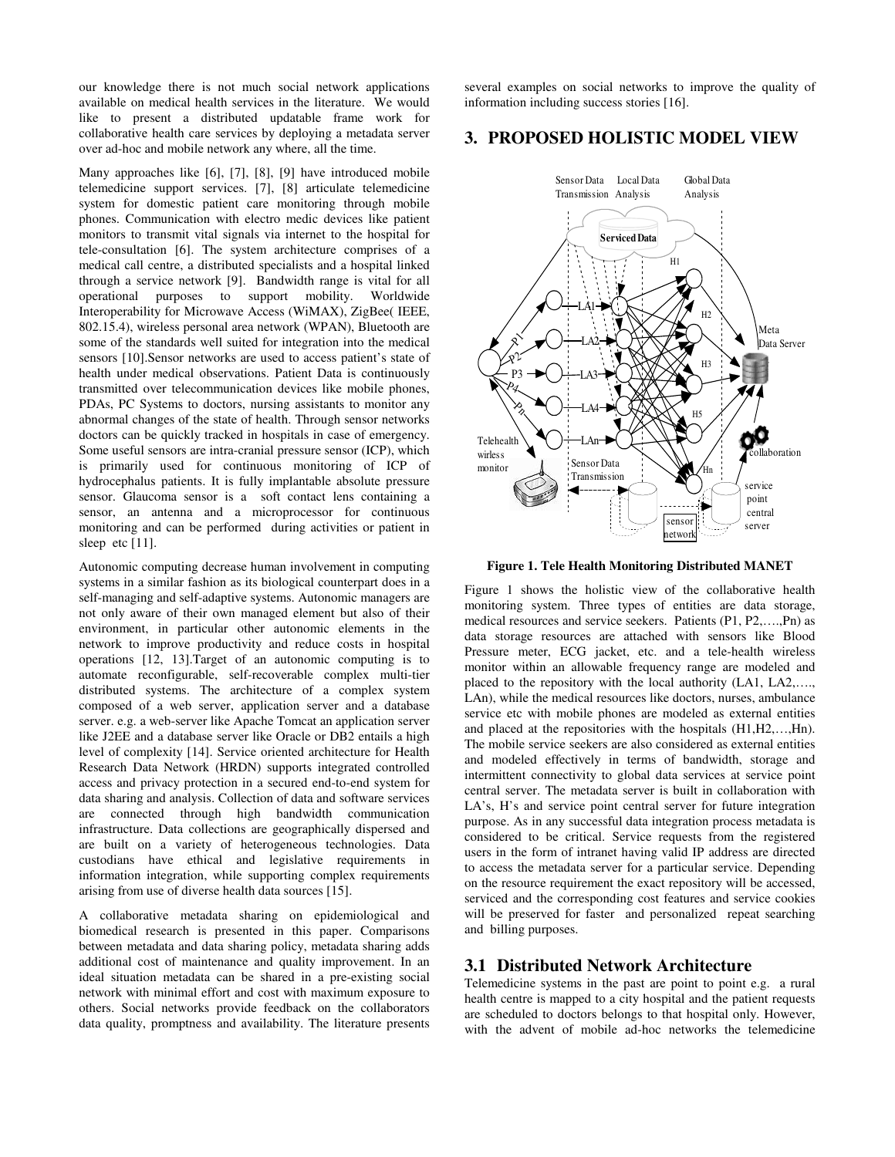our knowledge there is not much social network applications available on medical health services in the literature. We would like to present a distributed updatable frame work for collaborative health care services by deploying a metadata server over ad-hoc and mobile network any where, all the time.

Many approaches like [6], [7], [8], [9] have introduced mobile telemedicine support services. [7], [8] articulate telemedicine system for domestic patient care monitoring through mobile phones. Communication with electro medic devices like patient monitors to transmit vital signals via internet to the hospital for tele-consultation [6]. The system architecture comprises of a medical call centre, a distributed specialists and a hospital linked through a service network [9]. Bandwidth range is vital for all operational purposes to support mobility. Worldwide Interoperability for Microwave Access (WiMAX), ZigBee( IEEE, 802.15.4), wireless personal area network (WPAN), Bluetooth are some of the standards well suited for integration into the medical sensors [10].Sensor networks are used to access patient's state of health under medical observations. Patient Data is continuously transmitted over telecommunication devices like mobile phones, PDAs, PC Systems to doctors, nursing assistants to monitor any abnormal changes of the state of health. Through sensor networks doctors can be quickly tracked in hospitals in case of emergency. Some useful sensors are intra-cranial pressure sensor (ICP), which is primarily used for continuous monitoring of ICP of hydrocephalus patients. It is fully implantable absolute pressure sensor. Glaucoma sensor is a soft contact lens containing a sensor, an antenna and a microprocessor for continuous monitoring and can be performed during activities or patient in sleep etc [11].

Autonomic computing decrease human involvement in computing systems in a similar fashion as its biological counterpart does in a self-managing and self-adaptive systems. Autonomic managers are not only aware of their own managed element but also of their environment, in particular other autonomic elements in the network to improve productivity and reduce costs in hospital operations [12, 13].Target of an autonomic computing is to automate reconfigurable, self-recoverable complex multi-tier distributed systems. The architecture of a complex system composed of a web server, application server and a database server. e.g. a web-server like Apache Tomcat an application server like J2EE and a database server like Oracle or DB2 entails a high level of complexity [14]. Service oriented architecture for Health Research Data Network (HRDN) supports integrated controlled access and privacy protection in a secured end-to-end system for data sharing and analysis. Collection of data and software services are connected through high bandwidth communication infrastructure. Data collections are geographically dispersed and are built on a variety of heterogeneous technologies. Data custodians have ethical and legislative requirements in information integration, while supporting complex requirements arising from use of diverse health data sources [15].

A collaborative metadata sharing on epidemiological and biomedical research is presented in this paper. Comparisons between metadata and data sharing policy, metadata sharing adds additional cost of maintenance and quality improvement. In an ideal situation metadata can be shared in a pre-existing social network with minimal effort and cost with maximum exposure to others. Social networks provide feedback on the collaborators data quality, promptness and availability. The literature presents several examples on social networks to improve the quality of information including success stories [16].

# **3. PROPOSED HOLISTIC MODEL VIEW**



**Figure 1. Tele Health Monitoring Distributed MANET**

Figure 1 shows the holistic view of the collaborative health monitoring system. Three types of entities are data storage, medical resources and service seekers. Patients (P1, P2,….,Pn) as data storage resources are attached with sensors like Blood Pressure meter, ECG jacket, etc. and a tele-health wireless monitor within an allowable frequency range are modeled and placed to the repository with the local authority (LA1, LA2,…., LAn), while the medical resources like doctors, nurses, ambulance service etc with mobile phones are modeled as external entities and placed at the repositories with the hospitals (H1,H2,…,Hn). The mobile service seekers are also considered as external entities and modeled effectively in terms of bandwidth, storage and intermittent connectivity to global data services at service point central server. The metadata server is built in collaboration with LA's, H's and service point central server for future integration purpose. As in any successful data integration process metadata is considered to be critical. Service requests from the registered users in the form of intranet having valid IP address are directed to access the metadata server for a particular service. Depending on the resource requirement the exact repository will be accessed, serviced and the corresponding cost features and service cookies will be preserved for faster and personalized repeat searching and billing purposes.

#### **3.1 Distributed Network Architecture**

Telemedicine systems in the past are point to point e.g. a rural health centre is mapped to a city hospital and the patient requests are scheduled to doctors belongs to that hospital only. However, with the advent of mobile ad-hoc networks the telemedicine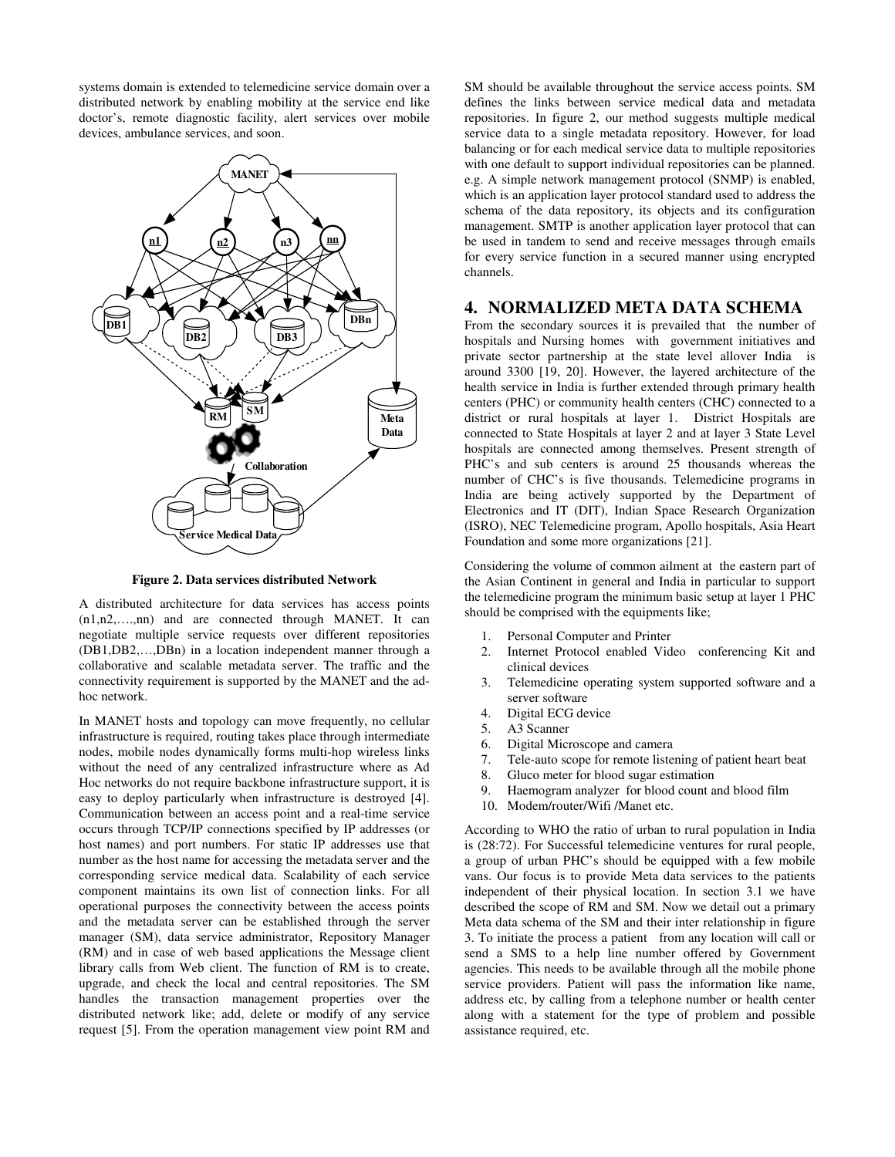systems domain is extended to telemedicine service domain over a distributed network by enabling mobility at the service end like doctor's, remote diagnostic facility, alert services over mobile devices, ambulance services, and soon.



**Figure 2. Data services distributed Network**

A distributed architecture for data services has access points (n1,n2,….,nn) and are connected through MANET. It can negotiate multiple service requests over different repositories (DB1,DB2,…,DBn) in a location independent manner through a collaborative and scalable metadata server. The traffic and the connectivity requirement is supported by the MANET and the adhoc network.

In MANET hosts and topology can move frequently, no cellular infrastructure is required, routing takes place through intermediate nodes, mobile nodes dynamically forms multi-hop wireless links without the need of any centralized infrastructure where as Ad Hoc networks do not require backbone infrastructure support, it is easy to deploy particularly when infrastructure is destroyed [4]. Communication between an access point and a real-time service occurs through TCP/IP connections specified by IP addresses (or host names) and port numbers. For static IP addresses use that number as the host name for accessing the metadata server and the corresponding service medical data. Scalability of each service component maintains its own list of connection links. For all operational purposes the connectivity between the access points and the metadata server can be established through the server manager (SM), data service administrator, Repository Manager (RM) and in case of web based applications the Message client library calls from Web client. The function of RM is to create, upgrade, and check the local and central repositories. The SM handles the transaction management properties over the distributed network like; add, delete or modify of any service request [5]. From the operation management view point RM and SM should be available throughout the service access points. SM defines the links between service medical data and metadata repositories. In figure 2, our method suggests multiple medical service data to a single metadata repository. However, for load balancing or for each medical service data to multiple repositories with one default to support individual repositories can be planned. e.g. A simple network management protocol (SNMP) is enabled, which is an application layer protocol standard used to address the schema of the data repository, its objects and its configuration management. SMTP is another application layer protocol that can be used in tandem to send and receive messages through emails for every service function in a secured manner using encrypted channels.

### **4. NORMALIZED META DATA SCHEMA**

From the secondary sources it is prevailed that the number of hospitals and Nursing homes with government initiatives and private sector partnership at the state level allover India is around 3300 [19, 20]. However, the layered architecture of the health service in India is further extended through primary health centers (PHC) or community health centers (CHC) connected to a district or rural hospitals at layer 1. District Hospitals are connected to State Hospitals at layer 2 and at layer 3 State Level hospitals are connected among themselves. Present strength of PHC's and sub centers is around 25 thousands whereas the number of CHC's is five thousands. Telemedicine programs in India are being actively supported by the Department of Electronics and IT (DIT), Indian Space Research Organization (ISRO), NEC Telemedicine program, Apollo hospitals, Asia Heart Foundation and some more organizations [21].

Considering the volume of common ailment at the eastern part of the Asian Continent in general and India in particular to support the telemedicine program the minimum basic setup at layer 1 PHC should be comprised with the equipments like;

- 1. Personal Computer and Printer
- 2. Internet Protocol enabled Video conferencing Kit and clinical devices
- 3. Telemedicine operating system supported software and a server software
- 4. Digital ECG device
- 5. A3 Scanner
- 6. Digital Microscope and camera
- 7. Tele-auto scope for remote listening of patient heart beat
- 8. Gluco meter for blood sugar estimation
- 9. Haemogram analyzer for blood count and blood film
- 10. Modem/router/Wifi /Manet etc.

According to WHO the ratio of urban to rural population in India is (28:72). For Successful telemedicine ventures for rural people, a group of urban PHC's should be equipped with a few mobile vans. Our focus is to provide Meta data services to the patients independent of their physical location. In section 3.1 we have described the scope of RM and SM. Now we detail out a primary Meta data schema of the SM and their inter relationship in figure 3. To initiate the process a patient from any location will call or send a SMS to a help line number offered by Government agencies. This needs to be available through all the mobile phone service providers. Patient will pass the information like name, address etc, by calling from a telephone number or health center along with a statement for the type of problem and possible assistance required, etc.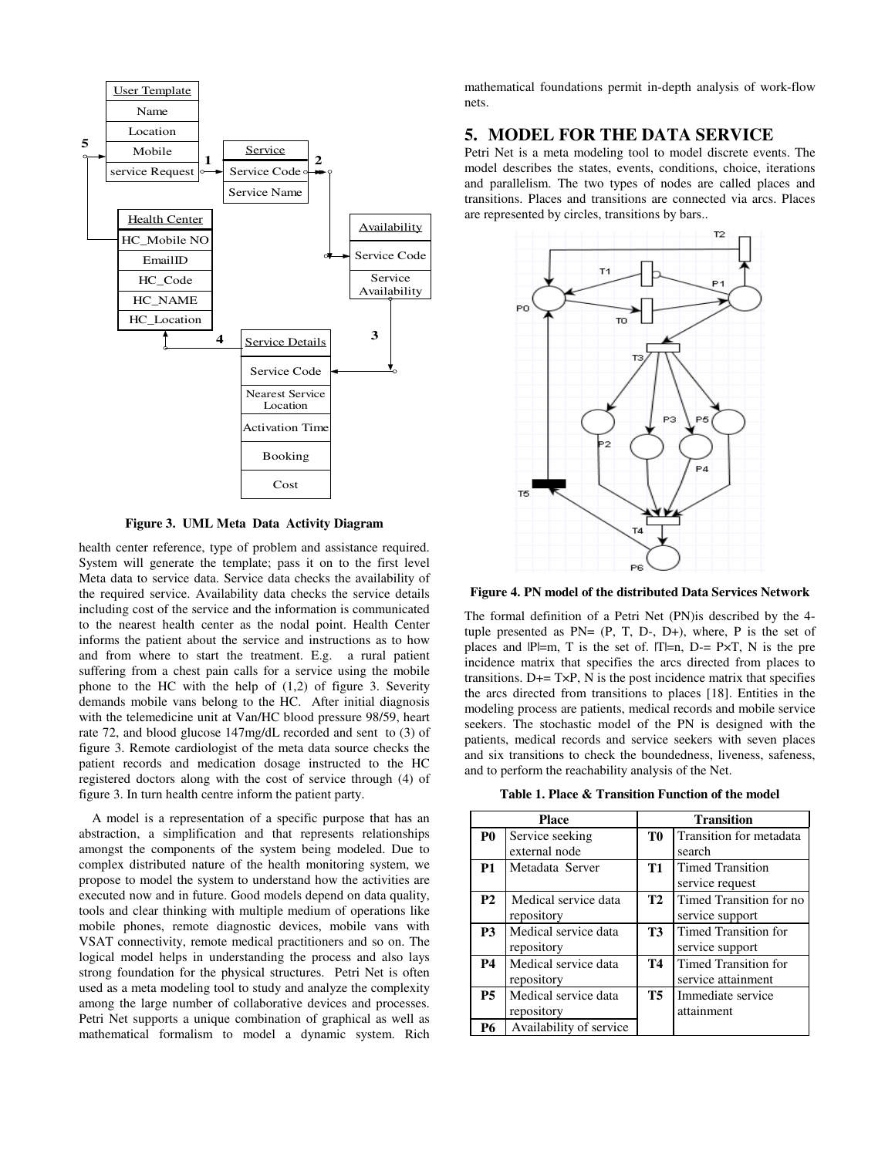

**Figure 3. UML Meta Data Activity Diagram**

health center reference, type of problem and assistance required. System will generate the template; pass it on to the first level Meta data to service data. Service data checks the availability of the required service. Availability data checks the service details including cost of the service and the information is communicated to the nearest health center as the nodal point. Health Center informs the patient about the service and instructions as to how and from where to start the treatment. E.g. a rural patient suffering from a chest pain calls for a service using the mobile phone to the HC with the help of (1,2) of figure 3. Severity demands mobile vans belong to the HC. After initial diagnosis with the telemedicine unit at Van/HC blood pressure 98/59, heart rate 72, and blood glucose 147mg/dL recorded and sent to (3) of figure 3. Remote cardiologist of the meta data source checks the patient records and medication dosage instructed to the HC registered doctors along with the cost of service through (4) of figure 3. In turn health centre inform the patient party.

A model is a representation of a specific purpose that has an abstraction, a simplification and that represents relationships amongst the components of the system being modeled. Due to complex distributed nature of the health monitoring system, we propose to model the system to understand how the activities are executed now and in future. Good models depend on data quality, tools and clear thinking with multiple medium of operations like mobile phones, remote diagnostic devices, mobile vans with VSAT connectivity, remote medical practitioners and so on. The logical model helps in understanding the process and also lays strong foundation for the physical structures. Petri Net is often used as a meta modeling tool to study and analyze the complexity among the large number of collaborative devices and processes. Petri Net supports a unique combination of graphical as well as mathematical formalism to model a dynamic system. Rich

mathematical foundations permit in-depth analysis of work-flow nets.

# **5. MODEL FOR THE DATA SERVICE**

Petri Net is a meta modeling tool to model discrete events. The model describes the states, events, conditions, choice, iterations and parallelism. The two types of nodes are called places and transitions. Places and transitions are connected via arcs. Places are represented by circles, transitions by bars..



**Figure 4. PN model of the distributed Data Services Network**

The formal definition of a Petri Net (PN)is described by the 4 tuple presented as  $PN = (P, T, D-, D+),$  where, P is the set of places and  $|P|=m$ , T is the set of.  $|T|=n$ ,  $D= P\times T$ , N is the pre incidence matrix that specifies the arcs directed from places to transitions.  $D = TxP$ , N is the post incidence matrix that specifies the arcs directed from transitions to places [18]. Entities in the modeling process are patients, medical records and mobile service seekers. The stochastic model of the PN is designed with the patients, medical records and service seekers with seven places and six transitions to check the boundedness, liveness, safeness, and to perform the reachability analysis of the Net.

| Table 1. Place & Transition Function of the model |  |  |  |
|---------------------------------------------------|--|--|--|
|---------------------------------------------------|--|--|--|

|                | <b>Place</b>            |                | <b>Transition</b>       |
|----------------|-------------------------|----------------|-------------------------|
| P <sub>0</sub> | Service seeking         | T <sub>0</sub> | Transition for metadata |
|                | external node           |                | search                  |
| <b>P1</b>      | Metadata Server         | <b>T1</b>      | <b>Timed Transition</b> |
|                |                         |                | service request         |
| P <sub>2</sub> | Medical service data    | <b>T2</b>      | Timed Transition for no |
|                | repository              |                | service support         |
| <b>P3</b>      | Medical service data    | <b>T3</b>      | Timed Transition for    |
|                | repository              |                | service support         |
| <b>P4</b>      | Medical service data    | <b>T4</b>      | Timed Transition for    |
|                | repository              |                | service attainment      |
| <b>P5</b>      | Medical service data    | T5             | Immediate service       |
|                | repository              |                | attainment              |
| Р6             | Availability of service |                |                         |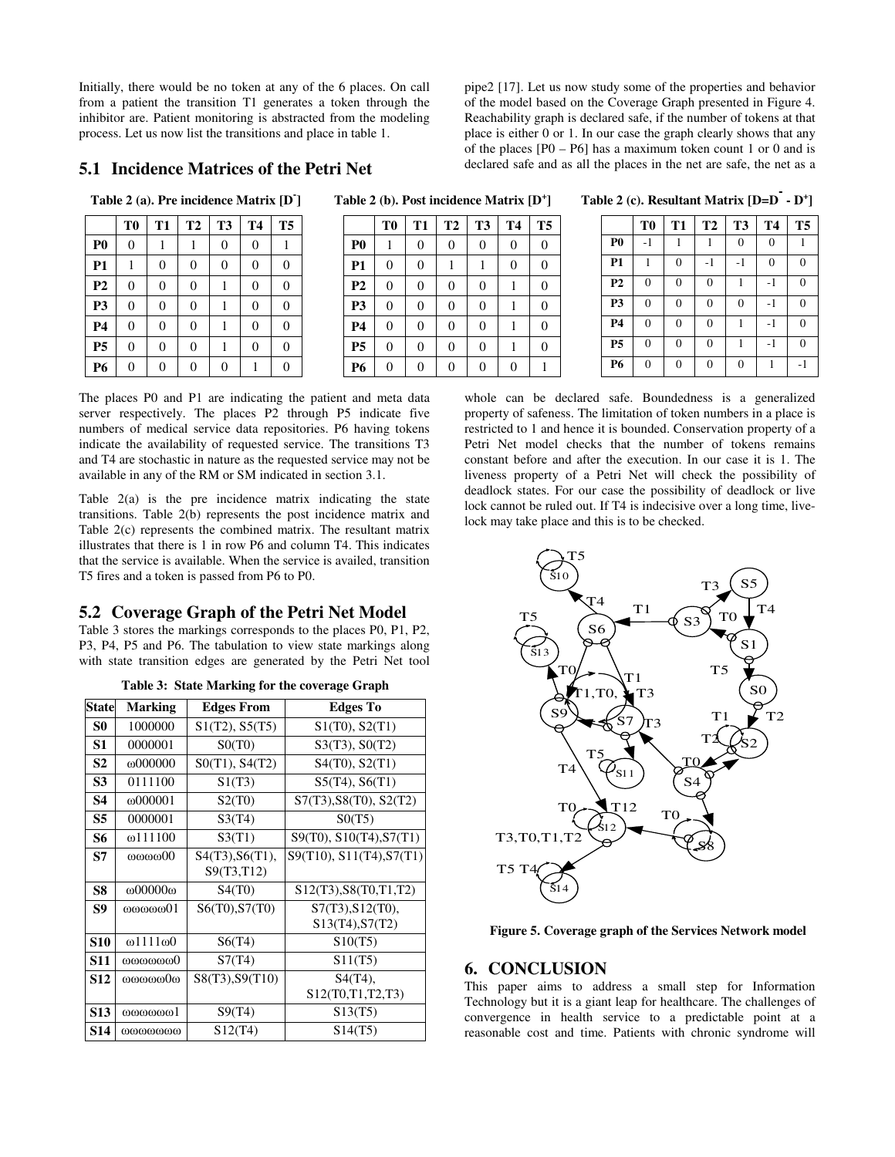Initially, there would be no token at any of the 6 places. On call from a patient the transition T1 generates a token through the inhibitor are. Patient monitoring is abstracted from the modeling process. Let us now list the transitions and place in table 1.

pipe2 [17]. Let us now study some of the properties and behavior of the model based on the Coverage Graph presented in Figure 4. Reachability graph is declared safe, if the number of tokens at that place is either 0 or 1. In our case the graph clearly shows that any of the places  $[P0 - P6]$  has a maximum token count 1 or 0 and is declared safe and as all the places in the net are safe, the net as a

#### **5.1 Incidence Matrices of the Petri Net**

**Table 2 (a). Pre incidence Matrix [D -**

|                | T <sub>0</sub> | <b>T1</b> | T2             | T <sub>3</sub> | <b>T4</b>      | T <sub>5</sub> |
|----------------|----------------|-----------|----------------|----------------|----------------|----------------|
| P <sub>0</sub> | $\overline{0}$ |           |                | $\overline{0}$ | $\overline{0}$ |                |
| <b>P1</b>      |                | 0         | $\overline{0}$ | $\overline{0}$ | $\overline{0}$ | $\overline{0}$ |
| P <sub>2</sub> | $\overline{0}$ | 0         | $\overline{0}$ |                | $\overline{0}$ | $\overline{0}$ |
| P <sub>3</sub> | $\overline{0}$ | 0         | $\overline{0}$ |                | $\overline{0}$ | $\overline{0}$ |
| P4             | $\overline{0}$ | 0         | $\overline{0}$ | 1              | $\overline{0}$ | $\overline{0}$ |
| <b>P5</b>      | $\overline{0}$ | 0         | $\overline{0}$ |                | $\overline{0}$ | $\overline{0}$ |
| P6             | 0              | 0         | 0              | 0              |                | 0              |

**] Table 2 (b). Post incidence Matrix [D +**

|    | T <sub>0</sub> | T1       | T <sub>2</sub> | T3       | Т4 | T5           |                | T <sub>0</sub> | T1           | <b>T2</b> | T3       | Т4 | T <sub>5</sub> |                | T <sub>0</sub> | T1 | <b>T2</b> | T3       | T4                       | T5             |
|----|----------------|----------|----------------|----------|----|--------------|----------------|----------------|--------------|-----------|----------|----|----------------|----------------|----------------|----|-----------|----------|--------------------------|----------------|
| P0 |                |          |                | $\theta$ |    |              | P <sub>0</sub> |                | 0            |           | $\theta$ |    | O              | P <sub>0</sub> | ÷.             |    |           | $\Omega$ |                          |                |
| P1 |                |          | $\theta$       |          |    | $\Omega$     | P <sub>1</sub> |                | $\Omega$     |           |          |    |                | P1             |                |    | ÷.        | - 1      |                          | $\overline{0}$ |
| Р2 |                | $\Omega$ | $\theta$       |          |    | $\mathbf{0}$ | <b>P2</b>      |                | $\mathbf{0}$ |           | $\theta$ |    | U              | P <sub>2</sub> |                |    |           |          | $\overline{\phantom{a}}$ | $\theta$       |
| Р3 |                |          | $\Omega$       |          |    | 0            | <b>P3</b>      |                | $\Omega$     |           | $\Omega$ |    | U              | P <sub>3</sub> |                |    |           |          | ۰                        | $\theta$       |
| Р4 |                | $\Omega$ | $\Omega$       |          |    | $\Omega$     | <b>P4</b>      |                | $\Omega$     |           | $\Omega$ |    | 0              | <b>P4</b>      |                |    |           |          | ۰                        | $\overline{0}$ |
| Р5 |                |          | $\theta$       |          |    | $\mathbf{0}$ | <b>P5</b>      |                | $\Omega$     |           | $\theta$ |    | $\Omega$<br>U  | <b>P5</b>      |                |    |           |          | $\sim$                   | $\Omega$       |
| Р6 |                |          | $\Omega$       |          |    | $\theta$     | <b>P6</b>      |                | $\Omega$     |           | $\Omega$ |    |                | <b>P6</b>      |                | 0  | $\Omega$  | $\theta$ |                          | $-1$           |

| Table 2 (c). Resultant Matrix [D=D $- D^+$ ] |  |  |
|----------------------------------------------|--|--|

|                | T <sub>0</sub> | <b>T1</b>      | T2               | T <sub>3</sub> | <b>T4</b> | T <sub>5</sub> |
|----------------|----------------|----------------|------------------|----------------|-----------|----------------|
| P <sub>0</sub> | $-1$           |                | 1                | $\overline{0}$ | $\theta$  |                |
| <b>P1</b>      |                | 0              | $-1$             | $-1$           | 0         | $\overline{0}$ |
| P <sub>2</sub> | 0              | 0              | $\boldsymbol{0}$ |                | $-1$      | $\overline{0}$ |
| P <sub>3</sub> | 0              | 0              | $\overline{0}$   | $\overline{0}$ | $-1$      | $\overline{0}$ |
| <b>P4</b>      | $\Omega$       | $\overline{0}$ | $\overline{0}$   |                | $-1$      | $\overline{0}$ |
| <b>P5</b>      | 0              | $\theta$       | $\overline{0}$   |                | -1        | $\theta$       |
| <b>P6</b>      | $\overline{0}$ | $\overline{0}$ | $\mathbf{0}$     | $\overline{0}$ |           | -1             |

whole can be declared safe. Boundedness is a generalized property of safeness. The limitation of token numbers in a place is restricted to 1 and hence it is bounded. Conservation property of a Petri Net model checks that the number of tokens remains constant before and after the execution. In our case it is 1. The liveness property of a Petri Net will check the possibility of deadlock states. For our case the possibility of deadlock or live lock cannot be ruled out. If T4 is indecisive over a long time, livelock may take place and this is to be checked.



**Figure 5. Coverage graph of the Services Network model**

#### **6. CONCLUSION**

This paper aims to address a small step for Information Technology but it is a giant leap for healthcare. The challenges of convergence in health service to a predictable point at a reasonable cost and time. Patients with chronic syndrome will

The places P0 and P1 are indicating the patient and meta data server respectively. The places P2 through P5 indicate five numbers of medical service data repositories. P6 having tokens indicate the availability of requested service. The transitions T3 and T4 are stochastic in nature as the requested service may not be available in any of the RM or SM indicated in section 3.1.

Table 2(a) is the pre incidence matrix indicating the state transitions. Table 2(b) represents the post incidence matrix and Table 2(c) represents the combined matrix. The resultant matrix illustrates that there is 1 in row P6 and column T4. This indicates that the service is available. When the service is availed, transition T5 fires and a token is passed from P6 to P0.

#### **5.2 Coverage Graph of the Petri Net Model**

Table 3 stores the markings corresponds to the places P0, P1, P2, P3, P4, P5 and P6. The tabulation to view state markings along with state transition edges are generated by the Petri Net tool

| <b>State</b>    | <b>Marking</b>             | <b>Edges From</b> | <b>Edges To</b>          |
|-----------------|----------------------------|-------------------|--------------------------|
| S0              | 1000000                    | S1(T2), S5(T5)    | S1(T0), S2(T1)           |
| S <sub>1</sub>  | 0000001                    | SO(T0)            | S3(T3), S0(T2)           |
| S <sub>2</sub>  | ω000000                    | S(0T1), S4(T2)    | S4(T0), S2(T1)           |
| S <sub>3</sub>  | 0111100                    | S1(T3)            | S5(T4), S6(T1)           |
| <b>S4</b>       | ω000001                    | S2(T0)            | S7(T3), S8(T0), S2(T2)   |
| S <sub>5</sub>  | 0000001                    | S3(T4)            | SO(T5)                   |
| S6              | $\omega$ 111100            | S3(T1)            | S9(T0), S10(T4), S7(T1)  |
| S7              | $\omega\omega\omega\omega$ | S4(T3), S6(T1),   | S9(T10), S11(T4), S7(T1) |
|                 |                            | S9(T3,T12)        |                          |
| S8              | $\omega$ 00000 $\omega$    | S4(T0)            | S12(T3), S8(T0, T1, T2)  |
| S9              | തതതത01                     | S6(T0), S7(T0)    | S7(T3), S12(T0),         |
|                 |                            |                   | S13(T4), S7(T2)          |
| <b>S10</b>      | $\omega$ 1111 $\omega$ 0   | S6(T4)            | S10(T5)                  |
| <b>S11</b>      | രരരരത്തി                   | S7(T4)            | S11(T5)                  |
| <b>S12</b>      | രരരരത0ര                    | S8(T3), S9(T10)   | $S4(T4)$ ,               |
|                 |                            |                   | S12(T0,T1,T2,T3)         |
| S <sub>13</sub> | 00000001                   | S9(T4)            | S13(T5)                  |
| <b>S14</b>      | 00000000                   | S12(T4)           | S14(T5)                  |

**Table 3: State Marking for the coverage Graph**